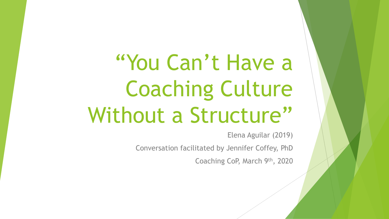"You Can't Have a Coaching Culture Without a Structure"

Elena Aguilar (2019)

Conversation facilitated by Jennifer Coffey, PhD

Coaching CoP, March 9th, 2020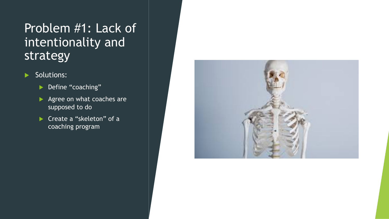#### Problem #1: Lack of intentionality and strategy

- $\blacktriangleright$  Solutions:
	- Define "coaching"
	- $\blacktriangleright$  Agree on what coaches are supposed to do
	- ▶ Create a "skeleton" of a coaching program

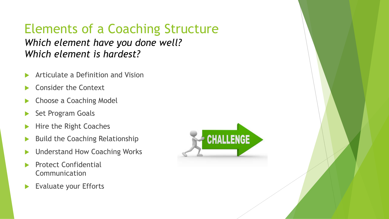#### Elements of a Coaching Structure *Which element have you done well? Which element is hardest?*

- Articulate a Definition and Vision
- Consider the Context
- **Exercise A Coaching Model**
- Set Program Goals
- Hire the Right Coaches
- $\blacktriangleright$  Build the Coaching Relationship
- Understand How Coaching Works
- **Protect Confidential** Communication
- Evaluate your Efforts

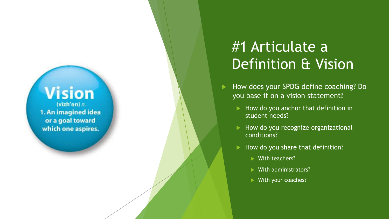## **Vision**

(vizh'an)  $n$ . 1. An imagined idea or a goal toward which one aspires.

### #1 Articulate a Definition & Vision

How does your SPDG define coaching? Do you base it on a vision statement?

- $\blacktriangleright$  How do you anchor that definition in student needs?
- $\blacktriangleright$  How do you recognize organizational conditions?
- $\blacktriangleright$  How do you share that definition?
	- $\blacktriangleright$  With teachers?
	- $\blacktriangleright$  With administrators?
	- $\blacktriangleright$  With your coaches?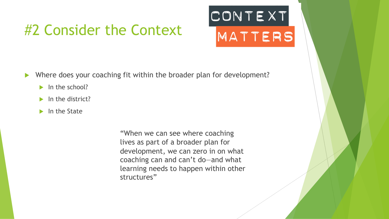#### #2 Consider the Context

# CONTEXT MATTERS

- Where does your coaching fit within the broader plan for development?
	- $\blacktriangleright$  In the school?
	- $\blacktriangleright$  In the district?
	- $\blacktriangleright$  In the State

"When we can see where coaching lives as part of a broader plan for development, we can zero in on what coaching can and can't do—and what learning needs to happen within other structures"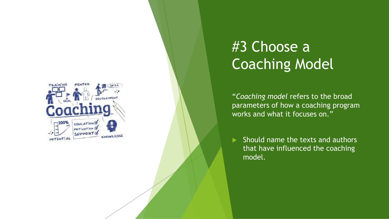

## #3 Choose a Coaching Model

"*Coaching model* refers to the broad parameters of how a coaching program works and what it focuses on."

Should name the texts and authors that have influenced the coaching model.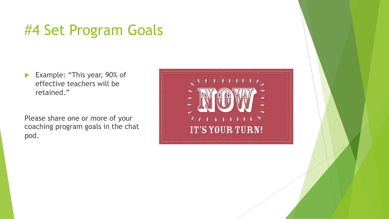#### #4 Set Program Goals

Example: "This year,  $90\%$  of effective teachers will be retained."

Please share one or more of your coaching program goals in the chat pod.

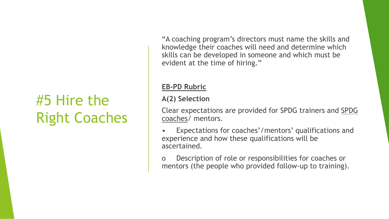## #5 Hire the Right Coaches

"A coaching program's directors must name the skills and knowledge their coaches will need and determine which skills can be developed in someone and which must be evident at the time of hiring."

#### **EB-PD Rubric**

#### **A(2) Selection**

Clear expectations are provided for SPDG trainers and SPDG coaches/ mentors.

- Expectations for coaches'/mentors' qualifications and experience and how these qualifications will be ascertained.
- o Description of role or responsibilities for coaches or mentors (the people who provided follow-up to training).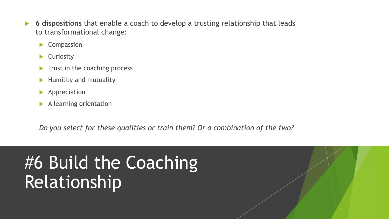- 6 dispositions that enable a coach to develop a trusting relationship that leads to transformational change:
	- $\blacktriangleright$  Compassion
	- $\blacktriangleright$  Curiosity
	- Trust in the coaching process
	- Humility and mutuality
	- $\blacktriangleright$  Appreciation
	- $\blacktriangleright$  A learning orientation

*Do you select for these qualities or train them? Or a combination of the two?*

## #6 Build the Coaching Relationship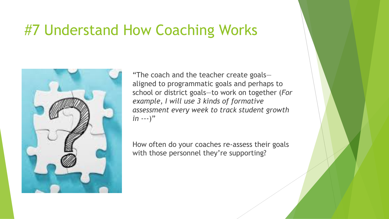#### #7 Understand How Coaching Works



"The coach and the teacher create goals aligned to programmatic goals and perhaps to school or district goals—to work on together (*For example, I will use 3 kinds of formative assessment every week to track student growth in* ---)"

How often do your coaches re-assess their goals with those personnel they're supporting?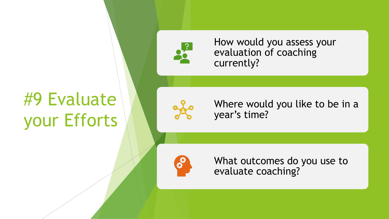# #9 Evaluate your Efforts



How would you assess your evaluation of coaching currently?

Where would you like to be in a year's time?



What outcomes do you use to evaluate coaching?